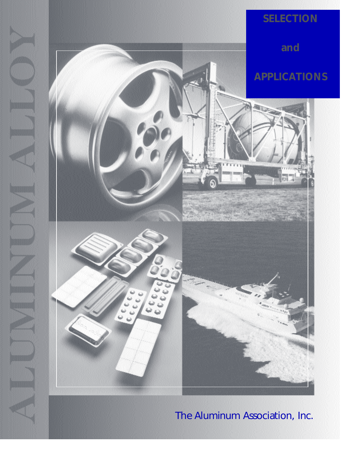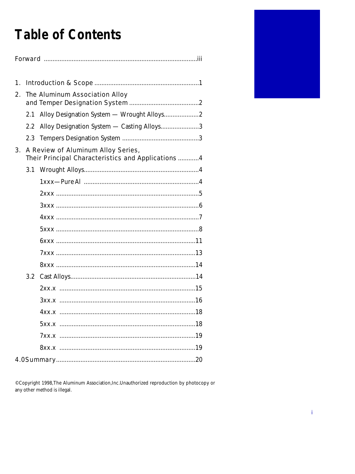# **Table of Contents**

| 1.                                       |                                |                                                    |
|------------------------------------------|--------------------------------|----------------------------------------------------|
| 2.                                       | The Aluminum Association Alloy |                                                    |
|                                          | 2.1                            |                                                    |
|                                          | $2.2\,$                        | Alloy Designation System — Casting Alloys3         |
|                                          |                                |                                                    |
| 3.<br>A Review of Aluminum Alloy Series, |                                | Their Principal Characteristics and Applications 4 |
|                                          |                                |                                                    |
|                                          |                                |                                                    |
|                                          |                                |                                                    |
|                                          |                                |                                                    |
|                                          |                                |                                                    |
|                                          |                                |                                                    |
|                                          |                                |                                                    |
|                                          |                                |                                                    |
|                                          |                                |                                                    |
|                                          | 3.2                            |                                                    |
|                                          |                                |                                                    |
|                                          |                                | 3xx.x                                              |
|                                          |                                |                                                    |
|                                          |                                |                                                    |
|                                          |                                |                                                    |
|                                          |                                |                                                    |
|                                          |                                |                                                    |

©Copyright 1998, The Aluminum Association, Inc. Unauthorized reproduction by photocopy or any other method is illegal.

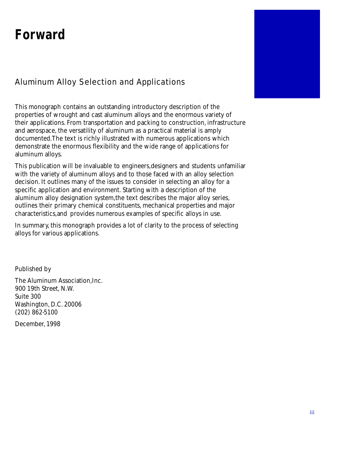## **Forward**

## Aluminum Alloy Selection and Applications

This monograph contains an outstanding introductory description of the properties of wrought and cast aluminum alloys and the enormous variety of their applications. From transportation and packing to construction, infrastructure and aerospace, the versatility of aluminum as a practical material is amply documented.The text is richly illustrated with numerous applications which demonstrate the enormous flexibility and the wide range of applications for aluminum alloys.

This publication will be invaluable to engineers,designers and students unfamiliar with the variety of aluminum alloys and to those faced with an alloy selection decision. It outlines many of the issues to consider in selecting an alloy for a specific application and environment. Starting with a description of the aluminum alloy designation system,the text describes the major alloy series, outlines their primary chemical constituents, mechanical properties and major characteristics,and provides numerous examples of specific alloys in use.

In summary, this monograph provides a lot of clarity to the process of selecting alloys for various applications.

Published by

The Aluminum Association,Inc. 900 19th Street, N.W. Suite 300 Washington, D.C. 20006 (202) 862-5100

December, 1998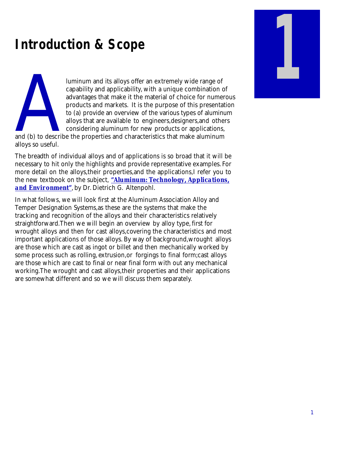## **Introduction & Scope**

luminum and its alloys offer an extremely wide range of capability and applicability, with a unique combination of advantages that make it the material of choice for numerous products and markets. It is the purpose of this presentation to (a) provide an overview of the various types of aluminum alloys that are available to engineers,designers,and others considering aluminum for new products or applications,

and (b) to describing the set of the set of the set of the set of the set of the set of the set of the set of the set of the set of the set of the set of the set of the set of the set of the set of the set of the set of th and (b) to describe the properties and characteristics that make aluminum alloys so useful.

The breadth of individual alloys and of applications is so broad that it will be necessary to hit only the highlights and provide representative examples. For more detail on the alloys,their properties,and the applications,I refer you to the new textbook on the subject, *"Aluminum: Technology, Applications, and Environment"*, by Dr. Dietrich G. Altenpohl.

In what follows, we will look first at the Aluminum Association Alloy and Temper Designation Systems,as these are the systems that make the tracking and recognition of the alloys and their characteristics relatively straightforward.Then we will begin an overview by alloy type, first for wrought alloys and then for cast alloys,covering the characteristics and most important applications of those alloys. By way of background,wrought alloys are those which are cast as ingot or billet and then mechanically worked by some process such as rolling, extrusion,or forgings to final form;cast alloys are those which are cast to final or near final form with out any mechanical working.The wrought and cast alloys,their properties and their applications are somewhat different and so we will discuss them separately.

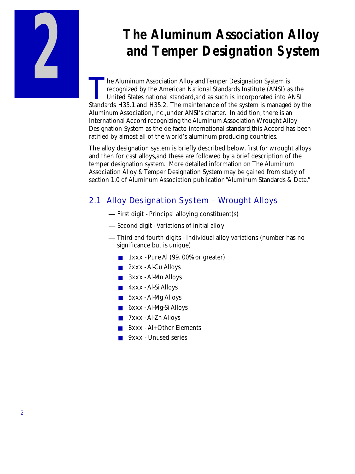

# **The Aluminum Association Alloy and Temper Designation System**

The Aluminum Association Alloy and Temper Designation System is<br>recognized by the American National Standards Institute (ANSI) as the<br>United States national standard, and as such is incorporated into ANSI<br>Standards H35.1.a **The Aluminum Association Alloy and Temper Designation System is** recognized by the American National Standards Institute (ANSI) as the United States national standard,and as such is incorporated into ANSI Aluminum Association, Inc., under ANSI's charter. In addition, there is an International Accord recognizing the Aluminum Association Wrought Alloy Designation System as the de facto international standard;this Accord has been ratified by almost all of the world's aluminum producing countries.

The alloy designation system is briefly described below, first for wrought alloys and then for cast alloys,and these are followed by a brief description of the temper designation system. More detailed information on The Aluminum Association Alloy & Temper Designation System may be gained from study of section 1.0 of Aluminum Association publication "Aluminum Standards & Data."

## 2.1 Alloy Designation System – Wrought Alloys

- First digit Principal alloying constituent(s)
- Second digit Variations of initial alloy
- Third and fourth digits Individual alloy variations (number has no significance but is unique)
	- 1xxx Pure Al (99. 00% or greater)
	- 2xxx Al-Cu Alloys
	- 3xxx Al-Mn Alloys
	- 4xxx Al-Si Alloys
	- 5xxx Al-Mg Alloys
	- 6xxx Al-Mg-Si Alloys
	- 7xxx Al-Zn Alloys
	- 8xxx Al+Other Elements
	- 9xxx Unused series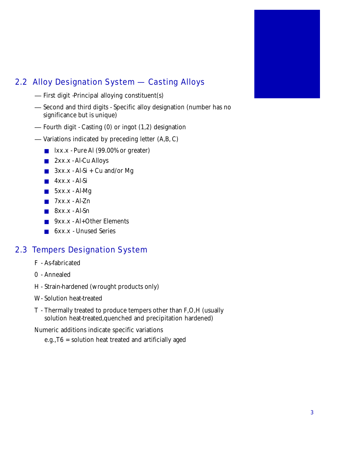

## 2.2 Alloy Designation System — Casting Alloys

- First digit -Principal alloying constituent(s)
- Second and third digits Specific alloy designation (number has no significance but is unique)
- Fourth digit Casting (0) or ingot (1,2) designation
- Variations indicated by preceding letter (A,B, C)
	- lxx.x Pure Al (99.00% or greater)
	- 2xx.x Al-Cu Alloys
	- $\blacksquare$  3xx.x Al-Si + Cu and/or Mg
	- 4xx.x Al-Si
	- 5xx.x Al-Mg
	- $\blacksquare$  7xx.x Al-Zn
	- $\blacksquare$  8xx.x Al-Sn
	- 9xx.x Al+Other Elements
	- 6xx.x Unused Series

#### 2.3 Tempers Designation System

- F As-fabricated
- 0 Annealed
- H Strain-hardened (wrought products only)
- W- Solution heat-treated
- T Thermally treated to produce tempers other than F,O,H (usually solution heat-treated,quenched and precipitation hardened)

Numeric additions indicate specific variations

e.g.,T6 = solution heat treated and artificially aged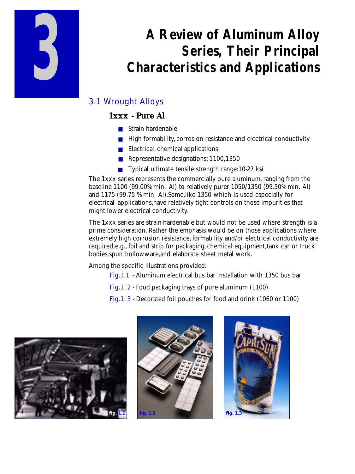

# **A Review of Aluminum Alloy Series, Their Principal Characteristics and Applications**

## 3.1 Wrought Alloys

### **1xxx - Pure Al**

- Strain hardenable
- High formability, corrosion resistance and electrical conductivity
- Electrical, chemical applications
- Representative designations: 1100,1350
- Typical ultimate tensile strength range:10-27 ksi

The 1xxx series represents the commercially pure aluminum, ranging from the baseline 1100 (99.00% min. Al) to relatively purer 1050/1350 (99.50% min. Al) and 1175 (99.75 % min. Al).Some,like 1350 which is used especially for electrical applications,have relatively tight controls on those impurities that might lower electrical conductivity.

The 1xxx series are strain-hardenable,but would not be used where strength is a prime consideration. Rather the emphasis would be on those applications where extremely high corrosion resistance, formability and/or electrical conductivity are required,e.g., foil and strip for packaging, chemical equipment,tank car or truck bodies,spun hollowware,and elaborate sheet metal work.

Among the specific illustrations provided:

- Fig.1.1 Aluminum electrical bus bar installation with 1350 bus bar
- Fig.1. 2 Food packaging trays of pure aluminum (1100)
- Fig.1. 3 Decorated foil pouches for food and drink (1060 or 1100)





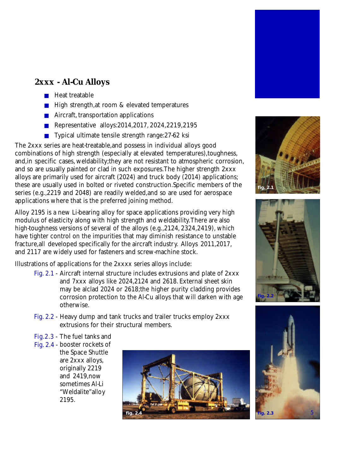## **2xxx - Al-Cu Alloys**

- Heat treatable
- High strength,at room & elevated temperatures
- Aircraft, transportation applications
- Representative alloys:2014,2017, 2024, 2219, 2195
- Typical ultimate tensile strength range: 27-62 ksi

The 2xxx series are heat-treatable,and possess in individual alloys good combinations of high strength (especially at elevated temperatures),toughness, and,in specific cases, weldability;they are not resistant to atmospheric corrosion, and so are usually painted or clad in such exposures.The higher strength 2xxx alloys are primarily used for aircraft (2024) and truck body (2014) applications; these are usually used in bolted or riveted construction.Specific members of the series (e.g.,2219 and 2048) are readily welded,and so are used for aerospace applications where that is the preferred joining method.

Alloy 2195 is a new Li-bearing alloy for space applications providing very high modulus of elasticity along with high strength and weldability.There are also high-toughness versions of several of the alloys (e.g.,2124, 2324,2419), which have tighter control on the impurities that may diminish resistance to unstable fracture,all developed specifically for the aircraft industry. Alloys 2011,2017, and 2117 are widely used for fasteners and screw-machine stock.

Illustrations of applications for the 2xxxx series alloys include:

- Fig. 2.1 Aircraft internal structure includes extrusions and plate of 2xxx and 7xxx alloys like 2024,2124 and 2618. External sheet skin may be alclad 2024 or 2618;the higher purity cladding provides corrosion protection to the Al-Cu alloys that will darken with age otherwise.
- Fig. 2.2 Heavy dump and tank trucks and trailer trucks employ 2xxx extrusions for their structural members.
- Fig.2.3 The fuel tanks and
- Fig. 2.4 booster rockets of the Space Shuttle are 2xxx alloys, originally 2219 and 2419,now sometimes Al-Li "Weldalite"alloy 2195.









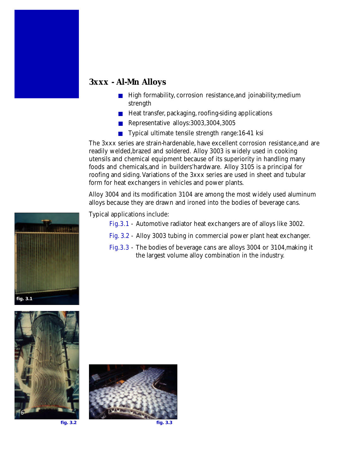### **3xxx - Al-Mn Alloys**

- High formability, corrosion resistance, and joinability; medium strength
- Heat transfer, packaging, roofing-siding applications
- Representative alloys:3003,3004,3005
- Typical ultimate tensile strength range:16-41 ksi

The 3xxx series are strain-hardenable, have excellent corrosion resistance,and are readily welded,brazed and soldered. Alloy 3003 is widely used in cooking utensils and chemical equipment because of its superiority in handling many foods and chemicals,and in builders'hardware. Alloy 3105 is a principal for roofing and siding. Variations of the 3xxx series are used in sheet and tubular form for heat exchangers in vehicles and power plants.

Alloy 3004 and its modification 3104 are among the most widely used aluminum alloys because they are drawn and ironed into the bodies of beverage cans.

Typical applications include:

- Fig.3.1 Automotive radiator heat exchangers are of alloys like 3002.
- Fig. 3.2 Alloy 3003 tubing in commercial power plant heat exchanger.
- Fig.3.3 The bodies of beverage cans are alloys 3004 or 3104,making it the largest volume alloy combination in the industry.





**fig. 3.2**



**fig. 3.3**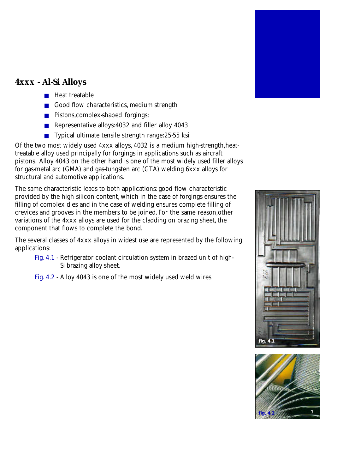

## **4xxx - Al-Si Alloys**

- Heat treatable
- Good flow characteristics, medium strength
- Pistons, complex-shaped forgings;
- Representative alloys:4032 and filler alloy 4043
- Typical ultimate tensile strength range: 25-55 ksi

Of the two most widely used 4xxx alloys, 4032 is a medium high-strength,heattreatable alloy used principally for forgings in applications such as aircraft pistons. Alloy 4043 on the other hand is one of the most widely used filler alloys for gas-metal arc (GMA) and gas-tungsten arc (GTA) welding 6xxx alloys for structural and automotive applications.

The same characteristic leads to both applications: good flow characteristic provided by the high silicon content, which in the case of forgings ensures the filling of complex dies and in the case of welding ensures complete filling of crevices and grooves in the members to be joined. For the same reason,other variations of the 4xxx alloys are used for the cladding on brazing sheet, the component that flows to complete the bond.

The several classes of 4xxx alloys in widest use are represented by the following applications:

- Fig. 4.1 Refrigerator coolant circulation system in brazed unit of high-Si brazing alloy sheet.
- Fig. 4.2 Alloy 4043 is one of the most widely used weld wires



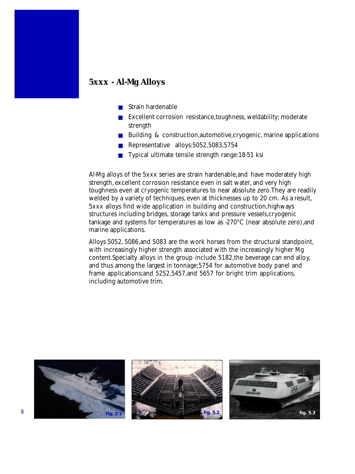#### **5xxx - Al-Mg Alloys**

- Strain hardenable
- Excellent corrosion resistance, toughness, weldability; moderate strength
- Building & construction,automotive,cryogenic, marine applications
- Representative alloys:5052,5083,5754
- Typical ultimate tensile strength range:18-51 ksi

Al-Mg alloys of the 5xxx series are strain hardenable,and have moderately high strength, excellent corrosion resistance even in salt water, and very high toughness even at cryogenic temperatures to near absolute zero.They are readily welded by a variety of techniques, even at thicknesses up to 20 cm. As a result, 5xxx alloys find wide application in building and construction,highways structures including bridges, storage tanks and pressure vessels,cryogenic tankage and systems for temperatures as low as -270°C (near absolute zero),and marine applications.

Alloys 5052, 5086,and 5083 are the work horses from the structural standpoint, with increasingly higher strength associated with the increasingly higher Mg content.Specialty alloys in the group include 5182,the beverage can end alloy, and thus among the largest in tonnage;5754 for automotive body panel and frame applications;and 5252,5457,and 5657 for bright trim applications, including automotive trim.

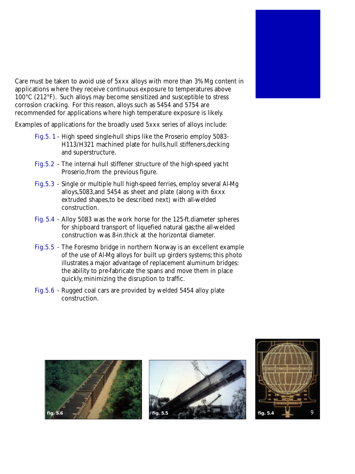Care must be taken to avoid use of 5xxx alloys with more than 3% Mg content in applications where they receive continuous exposure to temperatures above 100°C (212°F). Such alloys may become sensitized and susceptible to stress corrosion cracking. For this reason, alloys such as 5454 and 5754 are recommended for applications where high temperature exposure is likely.

Examples of applications for the broadly used 5xxx series of alloys include:

- Fig.5. 1 High speed single-hull ships like the Proserio employ 5083- H113/H321 machined plate for hulls,hull stiffeners,decking and superstructure.
- Fig.5.2 The internal hull stiffener structure of the high-speed yacht Proserio,from the previous figure.
- Fig.5.3 Single or multiple hull high-speed ferries, employ several Al-Mg alloys,5083,and 5454 as sheet and plate (along with 6xxx extruded shapes,to be described next) with all-welded construction.
- Fig. 5.4 Alloy 5083 was the work horse for the 125-ft.diameter spheres for shipboard transport of liquefied natural gas;the all-welded construction was 8-in.thick at the horizontal diameter.
- Fig.5.5 The Foresmo bridge in northern Norway is an excellent example of the use of Al-Mg alloys for built up girders systems; this photo illustrates a major advantage of replacement aluminum bridges: the ability to pre-fabricate the spans and move them in place quickly, minimizing the disruption to traffic.
- Fig.5.6 Rugged coal cars are provided by welded 5454 alloy plate construction.



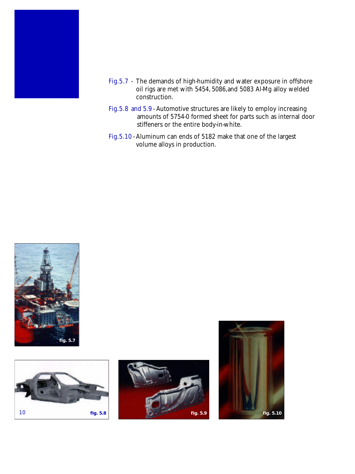

- Fig.5.7 The demands of high-humidity and water exposure in offshore oil rigs are met with 5454, 5086,and 5083 Al-Mg alloy welded construction.
- Fig.5.8 and 5.9 Automotive structures are likely to employ increasing amounts of 5754-0 formed sheet for parts such as internal door stiffeners or the entire body-in-white.
- Fig.5.10 Aluminum can ends of 5182 make that one of the largest volume alloys in production.







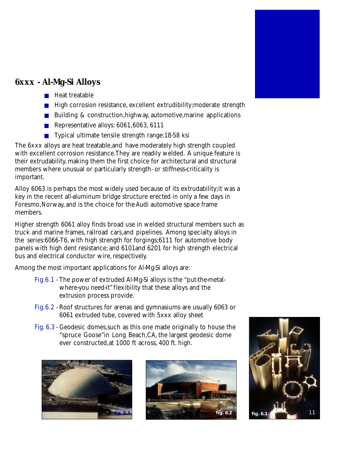

### **6xxx - Al-Mg-Si Alloys**

- Heat treatable
- High corrosion resistance, excellent extrudibility; moderate strength
- Building & construction, highway, automotive, marine applications
- Representative alloys: 6061,6063, 6111
- Typical ultimate tensile strength range:18-58 ksi

The 6xxx alloys are heat treatable,and have moderately high strength coupled with excellent corrosion resistance.They are readily welded. A unique feature is their extrudability, making them the first choice for architectural and structural members where unusual or particularly strength- or stiffness-criticality is important.

Alloy 6063 is perhaps the most widely used because of its extrudability;it was a key in the recent all-aluminum bridge structure erected in only a few days in Foresmo,Norway, and is the choice for the Audi automotive space frame members.

Higher strength 6061 alloy finds broad use in welded structural members such as truck and marine frames, railroad cars, and pipelines. Among specialty alloys in the series:6066-T6, with high strength for forgings;6111 for automotive body panels with high dent resistance; and 6101and 6201 for high strength electrical bus and electrical conductor wire, respectively.

Among the most important applications for Al-Mg-Si alloys are:

- Fig.6.1 The power of extruded Al-Mg-Si alloys is the "put-the-metalwhere-you need-it" flexibility that these alloys and the extrusion process provide.
- Fig.6.2 Roof structures for arenas and gymnasiums are usually 6063 or 6061 extruded tube, covered with 5xxx alloy sheet
- Fig. 6.3 Geodesic domes,such as this one made originally to house the "spruce Goose"in Long Beach,CA, the largest geodesic dome ever constructed,at 1000 ft across, 400 ft. high.





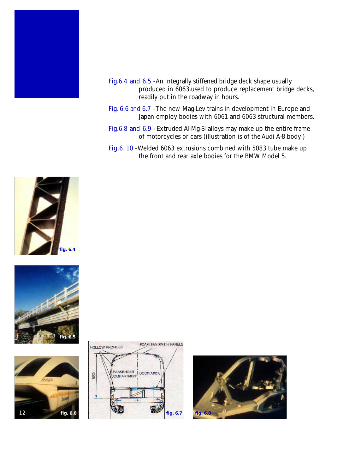

- Fig.6.4 and 6.5 An integrally stiffened bridge deck shape usually produced in 6063,used to produce replacement bridge decks, readily put in the roadway in hours.
- Fig. 6.6 and 6.7 The new Mag-Lev trains in development in Europe and Japan employ bodies with 6061 and 6063 structural members.
- Fig.6.8 and 6.9 Extruded Al-Mg-Si alloys may make up the entire frame of motorcycles or cars (illustration is of the Audi A-8 body )
- Fig.6. 10 Welded 6063 extrusions combined with 5083 tube make up the front and rear axle bodies for the BMW Model 5.









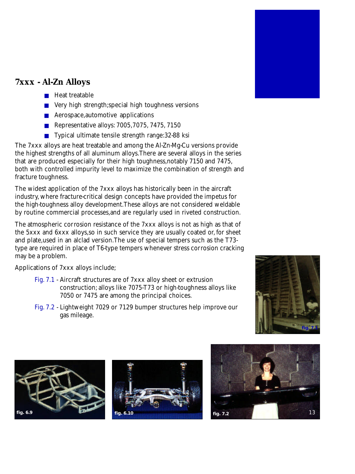

## **7xxx - Al-Zn Alloys**

- Heat treatable
- Very high strength;special high toughness versions
- Aerospace, automotive applications
- Representative alloys: 7005, 7075, 7475, 7150
- Typical ultimate tensile strength range: 32-88 ksi

The 7xxx alloys are heat treatable and among the Al-Zn-Mg-Cu versions provide the highest strengths of all aluminum alloys.There are several alloys in the series that are produced especially for their high toughness,notably 7150 and 7475, both with controlled impurity level to maximize the combination of strength and fracture toughness.

The widest application of the 7xxx alloys has historically been in the aircraft industry, where fracture-critical design concepts have provided the impetus for the high-toughness alloy development.These alloys are not considered weldable by routine commercial processes,and are regularly used in riveted construction.

The atmospheric corrosion resistance of the 7xxx alloys is not as high as that of the 5xxx and 6xxx alloys,so in such service they are usually coated or, for sheet and plate,used in an alclad version.The use of special tempers such as the T73 type are required in place of T6-type tempers whenever stress corrosion cracking may be a problem.

Applications of 7xxx alloys include;

- Fig. 7.1 Aircraft structures are of 7xxx alloy sheet or extrusion construction; alloys like 7075-T73 or high-toughness alloys like 7050 or 7475 are among the principal choices.
- Fig. 7.2 Lightweight 7029 or 7129 bumper structures help improve our gas mileage.







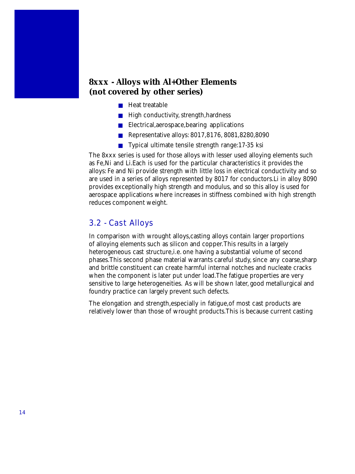#### **8xxx - Alloys with Al+Other Elements (not covered by other series)**

- Heat treatable
- High conductivity, strength, hardness
- Electrical, aerospace, bearing applications
- Representative alloys: 8017,8176, 8081,8280,8090
- Typical ultimate tensile strength range:17-35 ksi

The 8xxx series is used for those alloys with lesser used alloying elements such as Fe,Ni and Li.Each is used for the particular characteristics it provides the alloys: Fe and Ni provide strength with little loss in electrical conductivity and so are used in a series of alloys represented by 8017 for conductors.Li in alloy 8090 provides exceptionally high strength and modulus, and so this alloy is used for aerospace applications where increases in stiffness combined with high strength reduces component weight.

#### 3.2 - Cast Alloys

In comparison with wrought alloys,casting alloys contain larger proportions of alloying elements such as silicon and copper.This results in a largely heterogeneous cast structure,i.e. one having a substantial volume of second phases. This second phase material warrants careful study, since any coarse, sharp and brittle constituent can create harmful internal notches and nucleate cracks when the component is later put under load.The fatigue properties are very sensitive to large heterogeneities. As will be shown later, good metallurgical and foundry practice can largely prevent such defects.

The elongation and strength,especially in fatigue,of most cast products are relatively lower than those of wrought products.This is because current casting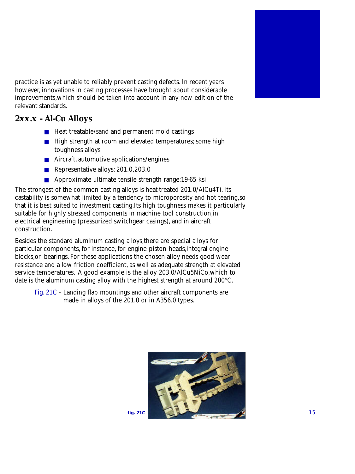

practice is as yet unable to reliably prevent casting defects. In recent years however, innovations in casting processes have brought about considerable improvements,which should be taken into account in any new edition of the relevant standards.

## **2xx.x - Al-Cu Alloys**

- Heat treatable/sand and permanent mold castings
- High strength at room and elevated temperatures; some high toughness alloys
- Aircraft, automotive applications/engines
- Representative alloys: 201.0,203.0
- Approximate ultimate tensile strength range:19-65 ksi

The strongest of the common casting alloys is heat-treated 201.0/AlCu4Ti. Its castability is somewhat limited by a tendency to microporosity and hot tearing,so that it is best suited to investment casting.Its high toughness makes it particularly suitable for highly stressed components in machine tool construction,in electrical engineering (pressurized switchgear casings), and in aircraft construction.

Besides the standard aluminum casting alloys,there are special alloys for particular components, for instance, for engine piston heads,integral engine blocks,or bearings. For these applications the chosen alloy needs good wear resistance and a low friction coefficient, as well as adequate strength at elevated service temperatures. A good example is the alloy 203.0/AlCu5NiCo,which to date is the aluminum casting alloy with the highest strength at around 200°C.

Fig. 21C - Landing flap mountings and other aircraft components are made in alloys of the 201.0 or in A356.0 types.

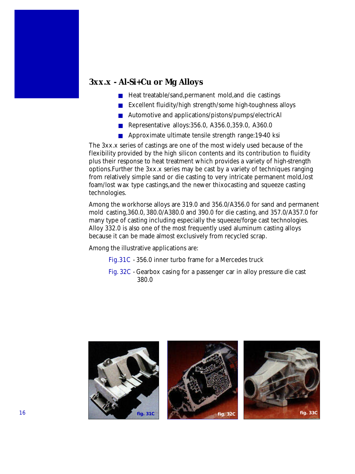#### **3xx.x - Al-Si+Cu or Mg Alloys**

- Heat treatable/sand, permanent mold, and die castings
- Excellent fluidity/high strength/some high-toughness alloys
- Automotive and applications/pistons/pumps/electricAl
- Representative alloys: 356.0, A356.0, 359.0, A360.0
- Approximate ultimate tensile strength range:19-40 ksi

The 3xx.x series of castings are one of the most widely used because of the flexibility provided by the high silicon contents and its contribution to fluidity plus their response to heat treatment which provides a variety of high-strength options.Further the 3xx.x series may be cast by a variety of techniques ranging from relatively simple sand or die casting to very intricate permanent mold,lost foam/lost wax type castings,and the newer thixocasting and squeeze casting technologies.

Among the workhorse alloys are 319.0 and 356.0/A356.0 for sand and permanent mold casting,360.0, 380.0/A380.0 and 390.0 for die casting, and 357.0/A357.0 for many type of casting including especially the squeeze/forge cast technologies. Alloy 332.0 is also one of the most frequently used aluminum casting alloys because it can be made almost exclusively from recycled scrap.

Among the illustrative applications are:

- Fig.31C 356.0 inner turbo frame for a Mercedes truck
- Fig. 32C Gearbox casing for a passenger car in alloy pressure die cast 380.0

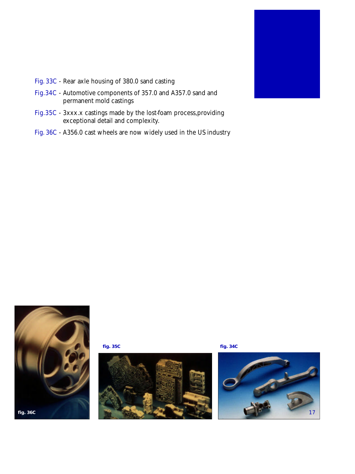

- Fig. 33C Rear axle housing of 380.0 sand casting
- Fig.34C Automotive components of 357.0 and A357.0 sand and permanent mold castings
- Fig.35C 3xxx.x castings made by the lost-foam process,providing exceptional detail and complexity.
- Fig. 36C A356.0 cast wheels are now widely used in the US industry



**fig. 35C fig. 34C**



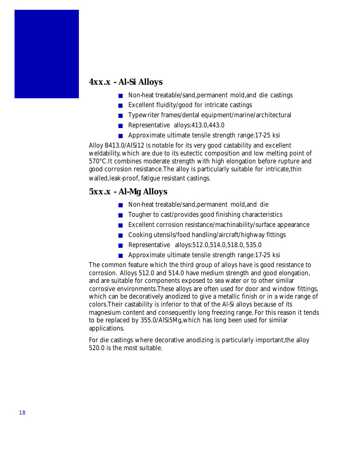#### **4xx.x - Al-Si Alloys**

- Non-heat treatable/sand, permanent mold, and die castings
- Excellent fluidity/good for intricate castings
- Typewriter frames/dental equipment/marine/architectural
- Representative alloys:413.0,443.0
- Approximate ultimate tensile strength range:17-25 ksi

Alloy B413.0/AlSi12 is notable for its very good castability and excellent weldability, which are due to its eutectic composition and low melting point of 570°C.It combines moderate strength with high elongation before rupture and good corrosion resistance.The alloy is particularly suitable for intricate,thin walled,leak-proof, fatigue resistant castings.

#### **5xx.x - Al-Mg Alloys**

- Non-heat treatable/sand, permanent mold, and die
- Tougher to cast/provides good finishing characteristics
- Excellent corrosion resistance/machinability/surface appearance
- Cooking utensils/food handling/aircraft/highway fittings
- Representative alloys:512.0,514.0,518.0,535.0
- Approximate ultimate tensile strength range:17-25 ksi

The common feature which the third group of alloys have is good resistance to corrosion. Alloys 512.0 and 514.0 have medium strength and good elongation, and are suitable for components exposed to sea water or to other similar corrosive environments.These alloys are often used for door and window fittings, which can be decoratively anodized to give a metallic finish or in a wide range of colors.Their castability is inferior to that of the Al-Si alloys because of its magnesium content and consequently long freezing range. For this reason it tends to be replaced by 355.0/AlSi5Mg,which has long been used for similar applications.

For die castings where decorative anodizing is particularly important,the alloy 520.0 is the most suitable.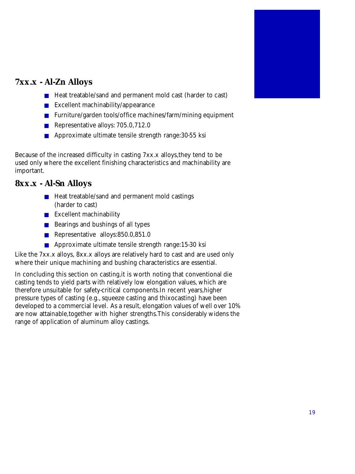

## **7xx.x - Al-Zn Alloys**

- Heat treatable/sand and permanent mold cast (harder to cast)
- Excellent machinability/appearance
- Furniture/garden tools/office machines/farm/mining equipment
- Representative alloys: 705.0,712.0
- Approximate ultimate tensile strength range: 30-55 ksi

Because of the increased difficulty in casting 7xx.x alloys,they tend to be used only where the excellent finishing characteristics and machinability are important.

### **8xx.x - Al-Sn Alloys**

- Heat treatable/sand and permanent mold castings (harder to cast)
- Excellent machinability
- Bearings and bushings of all types
- Representative alloys:850.0,851.0
- Approximate ultimate tensile strength range:15-30 ksi

Like the 7xx.x alloys, 8xx.x alloys are relatively hard to cast and are used only where their unique machining and bushing characteristics are essential.

In concluding this section on casting,it is worth noting that conventional die casting tends to yield parts with relatively low elongation values, which are therefore unsuitable for safety-critical components.In recent years,higher pressure types of casting (e.g., squeeze casting and thixocasting) have been developed to a commercial level. As a result, elongation values of well over 10% are now attainable,together with higher strengths.This considerably widens the range of application of aluminum alloy castings.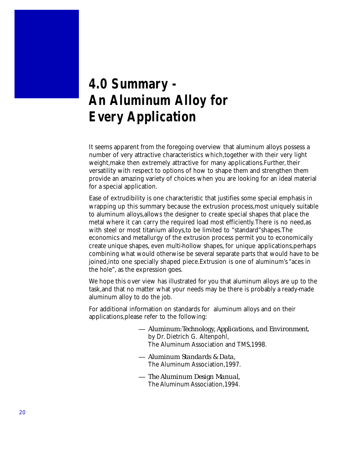## **4.0 Summary - An Aluminum Alloy for Every Application**

It seems apparent from the foregoing overview that aluminum alloys possess a number of very attractive characteristics which,together with their very light weight,make then extremely attractive for many applications.Further, their versatility with respect to options of how to shape them and strengthen them provide an amazing variety of choices when you are looking for an ideal material for a special application.

Ease of extrudibility is one characteristic that justifies some special emphasis in wrapping up this summary because the extrusion process,most uniquely suitable to aluminum alloys,allows the designer to create special shapes that place the metal where it can carry the required load most efficiently.There is no need,as with steel or most titanium alloys,to be limited to "standard"shapes.The economics and metallurgy of the extrusion process permit you to economically create unique shapes, even multi-hollow shapes, for unique applications,perhaps combining what would otherwise be several separate parts that would have to be joined,into one specially shaped piece.Extrusion is one of aluminum's "aces in the hole", as the expression goes.

We hope this over view has illustrated for you that aluminum alloys are up to the task,and that no matter what your needs may be there is probably a ready-made aluminum alloy to do the job.

For additional information on standards for aluminum alloys and on their applications,please refer to the following:

- *Aluminum:Technology, Applications, and Environment*, by Dr. Dietrich G. Altenpohl, The Aluminum Association and TMS,1998.
- *Aluminum Standards & Data,* The Aluminum Association,1997.
- *The Aluminum Design Manual,* The Aluminum Association,1994.